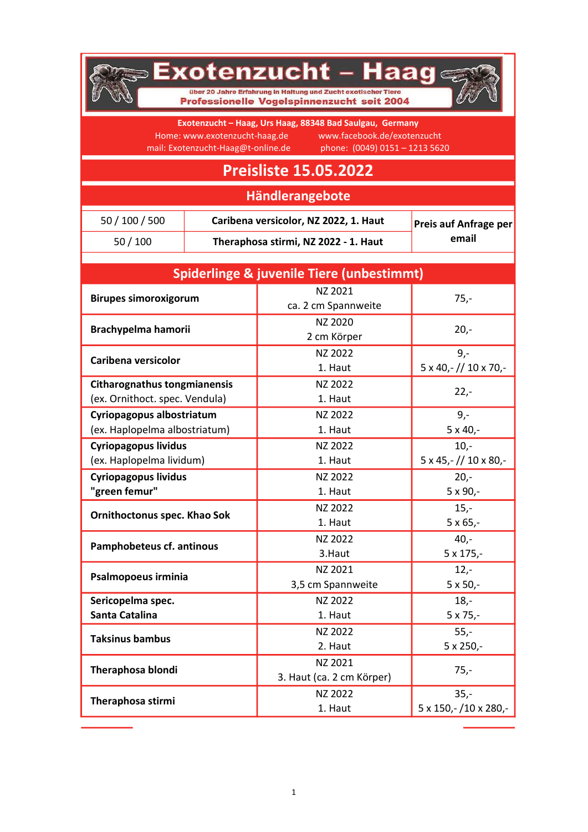

über 20 Jahre Erfahrung in Haltung und Zucht exotischer Tiere Professionelle Vogelspinnenzucht seit 2004

Exotenzucht – Haag, Urs Haag, 88348 Bad Saulgau, Germany Home: www.exotenzucht-haag.de www.facebook.de/exotenzucht mail: Exotenzucht-Haag@t-online.de phone: (0049) 0151 - 1213 5620

## Preisliste 15.05.2022

## Händlerangebote

| 50 / 100 / 500 | Caribena versicolor, NZ 2022, 1. Haut |
|----------------|---------------------------------------|
| 50/100         | Theraphosa stirmi, NZ 2022 - 1. Haut  |

Preis auf Anfrage per email

| <b>Spiderlinge &amp; juvenile Tiere (unbestimmt)</b>                  |                                      |                                   |  |  |
|-----------------------------------------------------------------------|--------------------------------------|-----------------------------------|--|--|
| <b>Birupes simoroxigorum</b>                                          | NZ 2021<br>ca. 2 cm Spannweite       | $75,-$                            |  |  |
| <b>Brachypelma hamorii</b>                                            | NZ 2020<br>2 cm Körper               | $20 -$                            |  |  |
| Caribena versicolor                                                   | <b>NZ 2022</b><br>1. Haut            | $9 -$<br>5 x 40, - // 10 x 70, -  |  |  |
| <b>Citharognathus tongmianensis</b><br>(ex. Ornithoct. spec. Vendula) | NZ 2022<br>1. Haut                   | $22 -$                            |  |  |
| Cyriopagopus albostriatum<br>(ex. Haplopelma albostriatum)            | NZ 2022<br>1. Haut                   | $9,-$<br>$5 \times 40$ ,-         |  |  |
| <b>Cyriopagopus lividus</b><br>(ex. Haplopelma lividum)               | NZ 2022<br>1. Haut                   | $10,-$<br>5 x 45, - // 10 x 80, - |  |  |
| <b>Cyriopagopus lividus</b><br>"green femur"                          | <b>NZ 2022</b><br>1. Haut            | $20 -$<br>$5 \times 90$ ,-        |  |  |
| Ornithoctonus spec. Khao Sok                                          | <b>NZ 2022</b><br>1. Haut            | $15,-$<br>$5 \times 65$ ,-        |  |  |
| Pamphobeteus cf. antinous                                             | NZ 2022<br>3.Haut                    | $40,-$<br>5 x 175,-               |  |  |
| Psalmopoeus irminia                                                   | NZ 2021<br>3,5 cm Spannweite         | $12 -$<br>$5 \times 50,-$         |  |  |
| Sericopelma spec.<br><b>Santa Catalina</b>                            | NZ 2022<br>1. Haut                   | $18,-$<br>5 x 75,-                |  |  |
| <b>Taksinus bambus</b>                                                | NZ 2022<br>2. Haut                   | $55,-$<br>$5 \times 250$ ,-       |  |  |
| <b>Theraphosa blondi</b>                                              | NZ 2021<br>3. Haut (ca. 2 cm Körper) | $75,-$                            |  |  |
| Theraphosa stirmi                                                     | NZ 2022<br>1. Haut                   | $35,-$<br>5 x 150, - /10 x 280, - |  |  |

1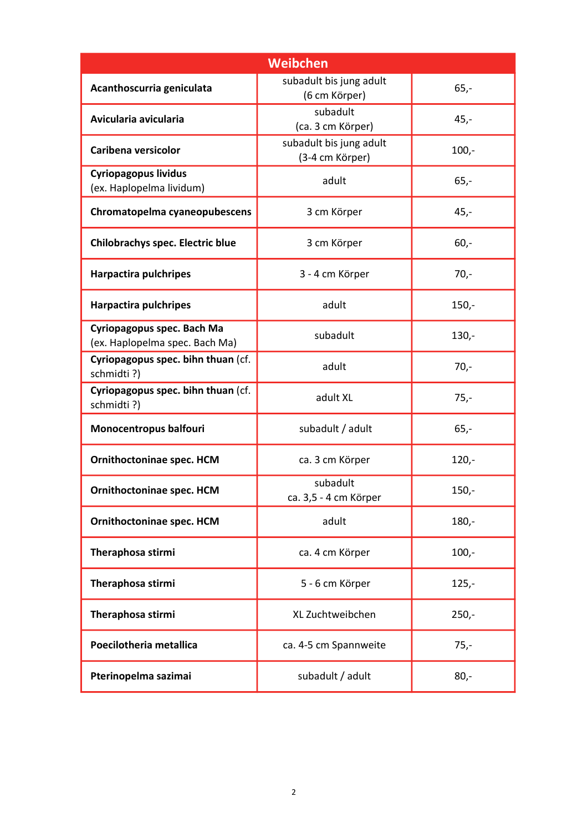| Weibchen                                                     |                                            |         |  |  |
|--------------------------------------------------------------|--------------------------------------------|---------|--|--|
| Acanthoscurria geniculata                                    | subadult bis jung adult<br>(6 cm Körper)   | $65,-$  |  |  |
| Avicularia avicularia                                        | subadult<br>(ca. 3 cm Körper)              | $45,-$  |  |  |
| Caribena versicolor                                          | subadult bis jung adult<br>(3-4 cm Körper) | $100,-$ |  |  |
| <b>Cyriopagopus lividus</b><br>(ex. Haplopelma lividum)      | adult                                      | $65,-$  |  |  |
| Chromatopelma cyaneopubescens                                | 3 cm Körper                                | $45,-$  |  |  |
| <b>Chilobrachys spec. Electric blue</b>                      | 3 cm Körper                                | $60 -$  |  |  |
| <b>Harpactira pulchripes</b>                                 | 3 - 4 cm Körper                            | $70,-$  |  |  |
| <b>Harpactira pulchripes</b>                                 | adult                                      | $150 -$ |  |  |
| Cyriopagopus spec. Bach Ma<br>(ex. Haplopelma spec. Bach Ma) | subadult                                   | $130,-$ |  |  |
| Cyriopagopus spec. bihn thuan (cf.<br>schmidti?)             | adult                                      | $70,-$  |  |  |
| Cyriopagopus spec. bihn thuan (cf.<br>schmidti?)             | adult XL                                   | $75,-$  |  |  |
| Monocentropus balfouri                                       | subadult / adult                           | $65,-$  |  |  |
| Ornithoctoninae spec. HCM                                    | ca. 3 cm Körper                            | $120 -$ |  |  |
| <b>Ornithoctoninae spec. HCM</b>                             | subadult<br>ca. 3,5 - 4 cm Körper          | $150,-$ |  |  |
| Ornithoctoninae spec. HCM                                    | adult                                      | $180 -$ |  |  |
| Theraphosa stirmi                                            | ca. 4 cm Körper                            | $100,-$ |  |  |
| Theraphosa stirmi                                            | 5 - 6 cm Körper                            | $125 -$ |  |  |
| Theraphosa stirmi                                            | XL Zuchtweibchen                           | $250 -$ |  |  |
| Poecilotheria metallica                                      | ca. 4-5 cm Spannweite                      | $75,-$  |  |  |
| Pterinopelma sazimai                                         | subadult / adult                           | $80 -$  |  |  |